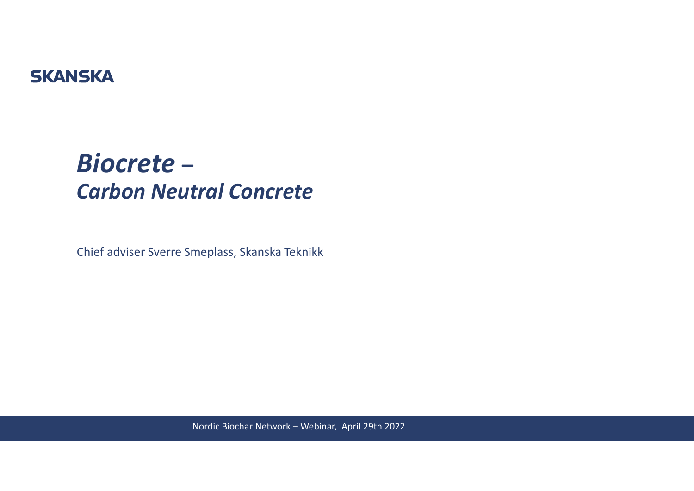### *Biocrete* **–** *Carbon Neutral Concrete*

Chief adviser Sverre Smeplass, Skanska Teknikk

Nordic Biochar Network – Webinar, April 29th 2022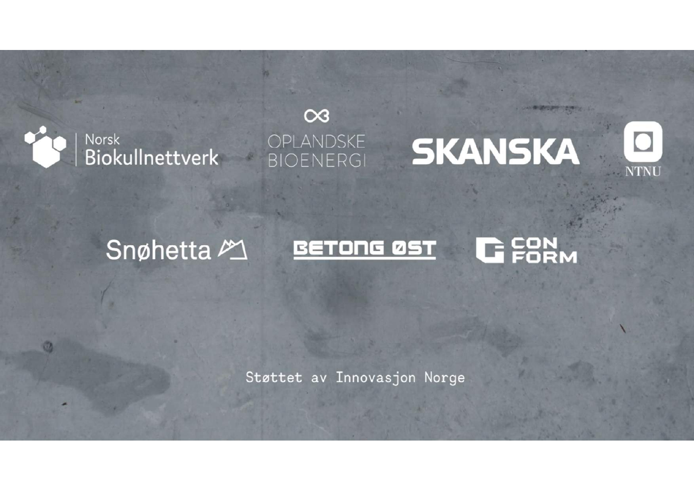

### $\infty$ OPLANDSKE **BIOENERGI**

# **SKANSKA**



### Snøhetta 21

### **BETONG 0ST**



Støttet av Innovasjon Norge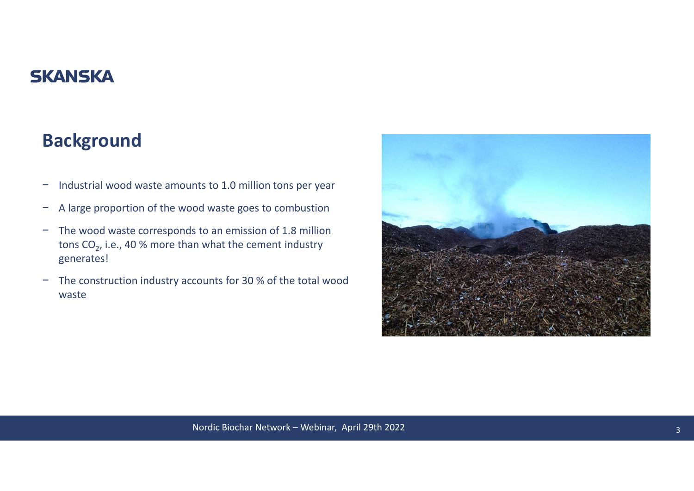### **Background**

- − Industrial wood waste amounts to 1.0 million tons per year
- − A large proportion of the wood waste goes to combustion
- − The wood waste corresponds to an emission of 1.8 million tons  $CO_2$ , i.e., 40 % more than what the cement industry generates!
- − The construction industry accounts for 30 % of the total wood waste

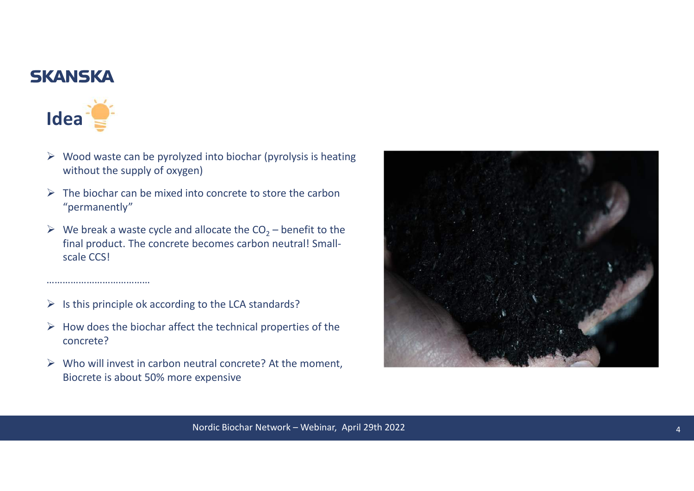

…………………………………

- $\triangleright$  Wood waste can be pyrolyzed into biochar (pyrolysis is heating without the supply of oxygen)
- $\triangleright$  The biochar can be mixed into concrete to store the carbon "permanently"
- $\triangleright$  We break a waste cycle and allocate the CO<sub>2</sub> benefit to the final product. The concrete becomes carbon neutral! Smallscale CCS!
- $\triangleright$  Is this principle ok according to the LCA standards?
- $\triangleright$  How does the biochar affect the technical properties of the concrete?
- $\triangleright$  Who will invest in carbon neutral concrete? At the moment, Biocrete is about 50% more expensive

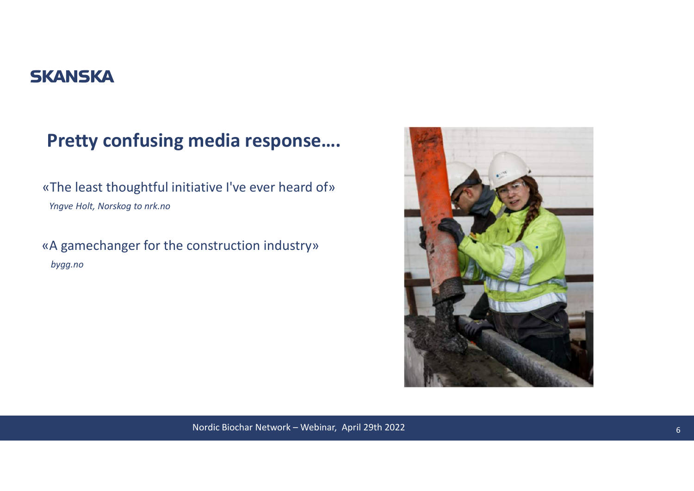### **Pretty confusing media response….**

«The least thoughtful initiative I've ever heard of» *Yngve Holt, Norskog to nrk.no*

«A gamechanger for the construction industry» *bygg.no*

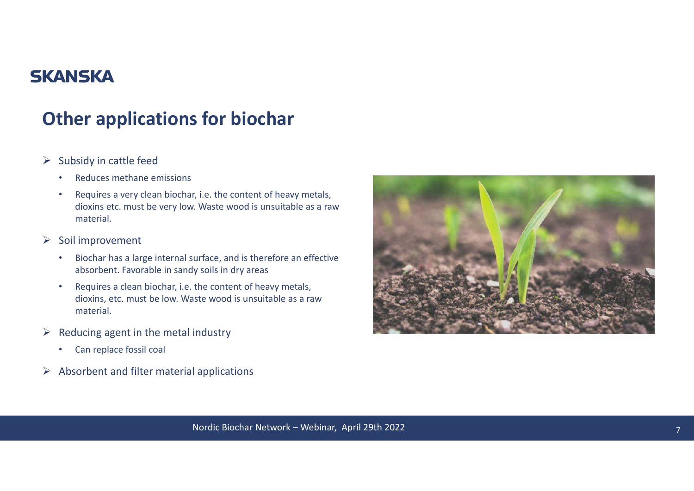### **Other applications for biochar**

- $\triangleright$  Subsidy in cattle feed
	- Reduces methane emissions
	- Requires a very clean biochar, i.e. the content of heavy metals, dioxins etc. must be very low. Waste wood is unsuitable as a raw material.
- $\triangleright$  Soil improvement
	- Biochar has a large internal surface, and is therefore an effective absorbent. Favorable in sandy soils in dry areas
	- Requires a clean biochar, i.e. the content of heavy metals, dioxins, etc. must be low. Waste wood is unsuitable as a raw material.
- $\triangleright$  Reducing agent in the metal industry
	- Can replace fossil coal
- $\triangleright$  Absorbent and filter material applications

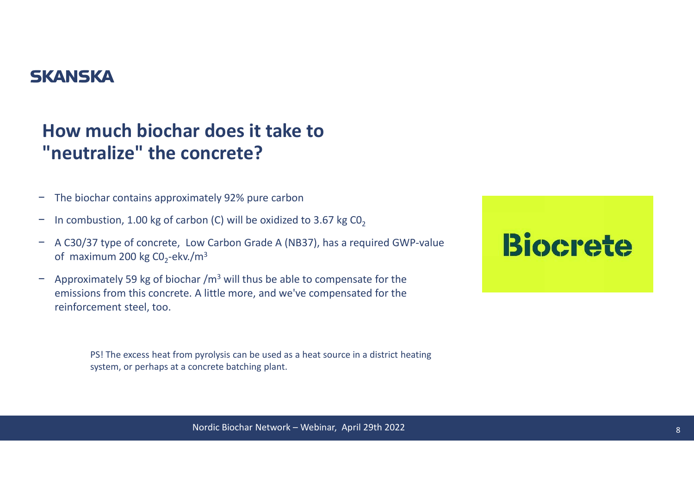### **How much biochar does it take to "neutralize" the concrete?**

- − The biochar contains approximately 92% pure carbon
- $-$  In combustion, 1.00 kg of carbon (C) will be oxidized to 3.67 kg CO<sub>2</sub>
- − A C30/37 type of concrete, Low Carbon Grade A (NB37), has a required GWP-value of maximum 200 kg  $CO_2$ -ekv./m<sup>3</sup>
- − Approximately 59 kg of biochar /m<sup>3</sup> will thus be able to compensate for the emissions from this concrete. A little more, and we've compensated for the reinforcement steel, too.

PS! The excess heat from pyrolysis can be used as a heat source in a district heating system, or perhaps at a concrete batching plant.

### **Biocrete**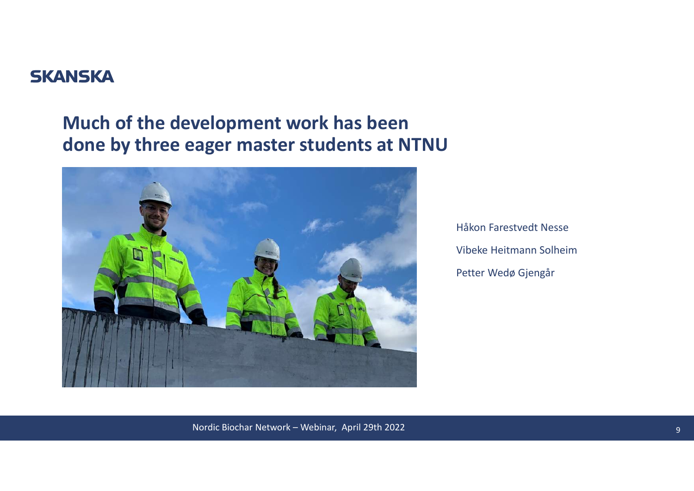### **Much of the development work has been done by three eager master students at NTNU**



Håkon Farestvedt Nesse Vibeke Heitmann Solheim Petter Wedø Gjengår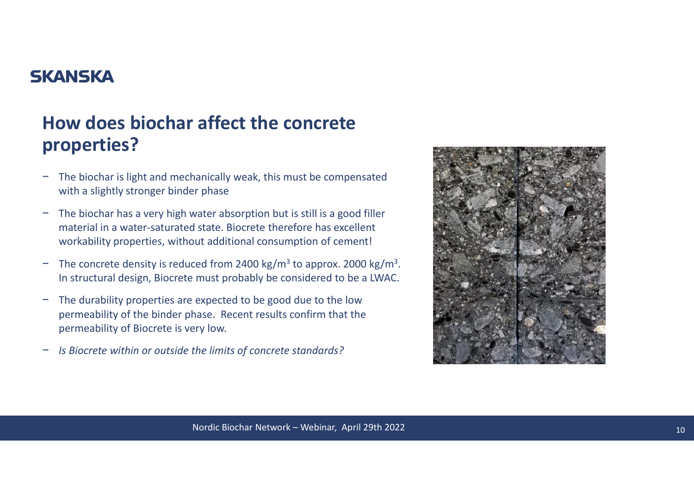### **How does biochar affect the concrete properties?**

- − The biochar is light and mechanically weak, this must be compensated with a slightly stronger binder phase
- − The biochar has a very high water absorption but is still is a good filler material in a water-saturated state. Biocrete therefore has excellent workability properties, without additional consumption of cement!
- − The concrete density is reduced from 2400 kg/m<sup>3</sup> to approx. 2000 kg/m<sup>3</sup>. In structural design, Biocrete must probably be considered to be a LWAC.
- − The durability properties are expected to be good due to the low permeability of the binder phase. Recent results confirm that the permeability of Biocrete is very low.
- − *Is Biocrete within or outside the limits of concrete standards?*

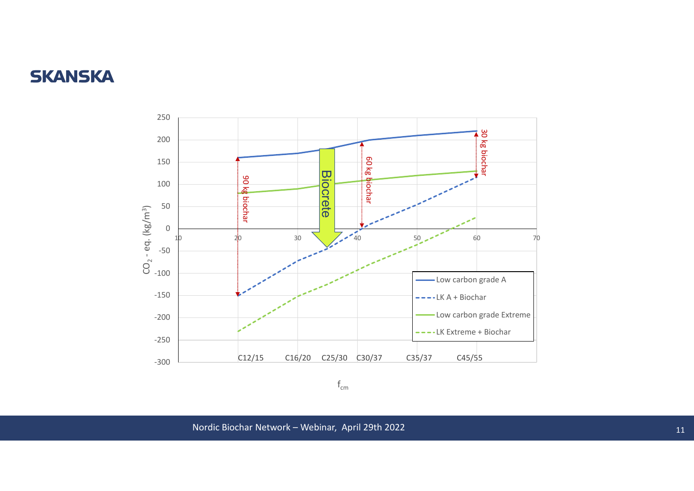

f cm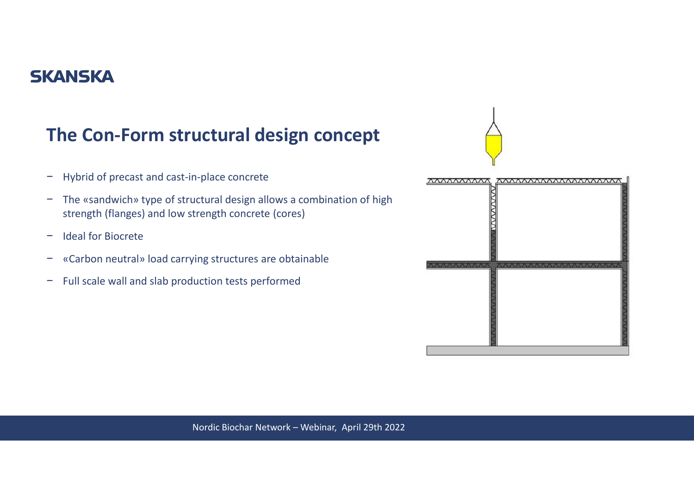### **The Con-Form structural design concept**

- − Hybrid of precast and cast-in-place concrete
- − The «sandwich» type of structural design allows a combination of high strength (flanges) and low strength concrete (cores)
- − Ideal for Biocrete
- − «Carbon neutral» load carrying structures are obtainable
- − Full scale wall and slab production tests performed

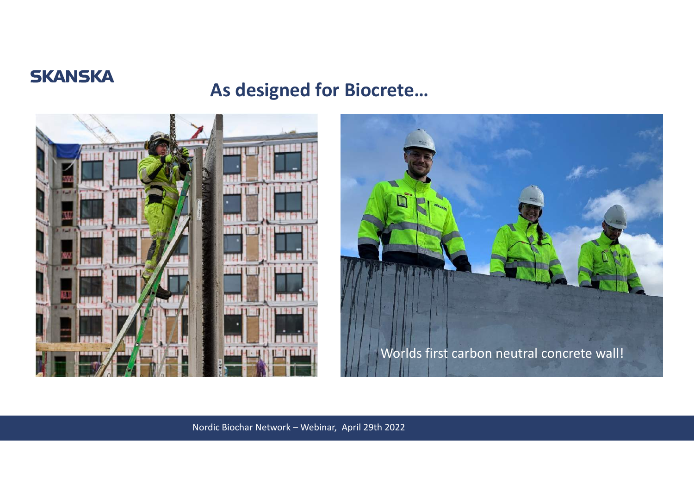### **As designed for Biocrete…**





Nordic Biochar Network – Webinar, April 29th 2022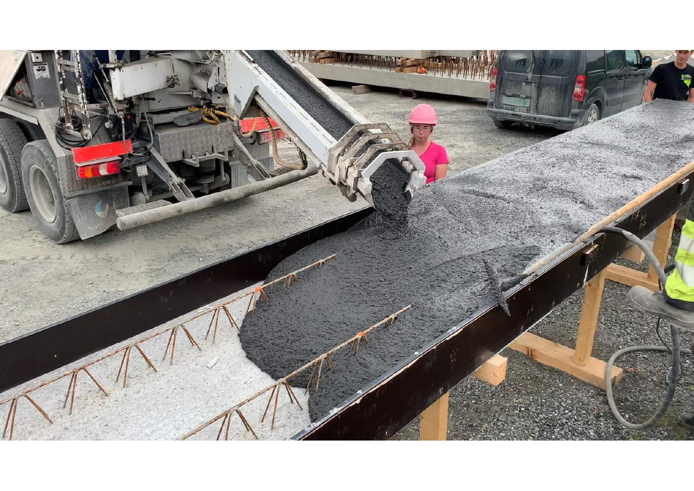